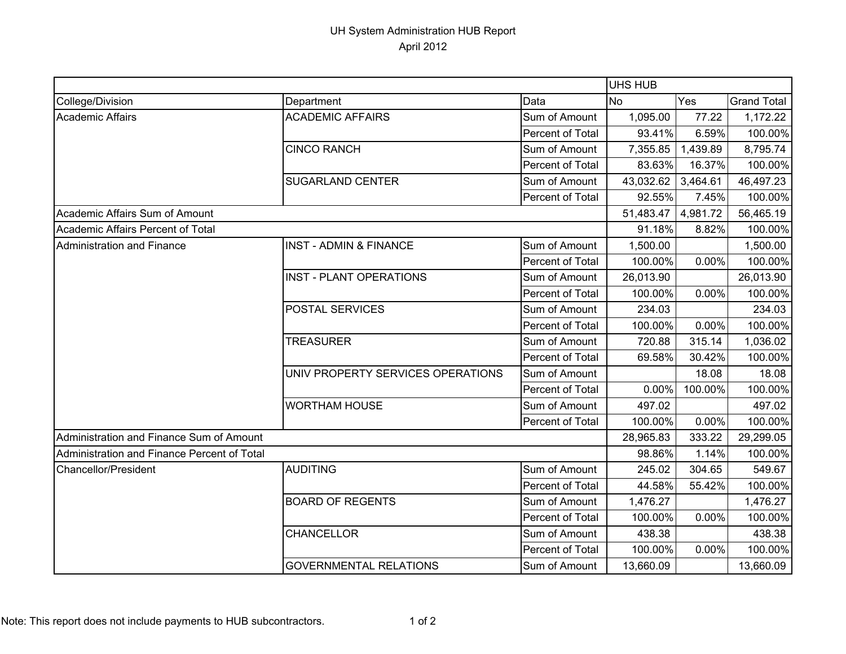## UH System Administration HUB Report April 2012

| College/Division                            | Department                        | Data             | <b>No</b> | Yes      | <b>Grand Total</b> |
|---------------------------------------------|-----------------------------------|------------------|-----------|----------|--------------------|
| <b>Academic Affairs</b>                     | <b>ACADEMIC AFFAIRS</b>           | Sum of Amount    | 1,095.00  | 77.22    | 1,172.22           |
|                                             |                                   | Percent of Total | 93.41%    | 6.59%    | 100.00%            |
|                                             | <b>CINCO RANCH</b>                | Sum of Amount    | 7,355.85  | 1,439.89 | 8,795.74           |
|                                             |                                   | Percent of Total | 83.63%    | 16.37%   | 100.00%            |
|                                             | <b>SUGARLAND CENTER</b>           | Sum of Amount    | 43,032.62 | 3,464.61 | 46,497.23          |
|                                             |                                   | Percent of Total | 92.55%    | 7.45%    | 100.00%            |
| Academic Affairs Sum of Amount              |                                   |                  | 51,483.47 | 4,981.72 | 56,465.19          |
| Academic Affairs Percent of Total           |                                   |                  | 91.18%    | 8.82%    | 100.00%            |
| Administration and Finance                  | <b>INST - ADMIN &amp; FINANCE</b> | Sum of Amount    | 1,500.00  |          | 1,500.00           |
|                                             |                                   | Percent of Total | 100.00%   | 0.00%    | 100.00%            |
|                                             | <b>INST - PLANT OPERATIONS</b>    | Sum of Amount    | 26,013.90 |          | 26,013.90          |
|                                             |                                   | Percent of Total | 100.00%   | 0.00%    | 100.00%            |
|                                             | POSTAL SERVICES                   | Sum of Amount    | 234.03    |          | 234.03             |
|                                             |                                   | Percent of Total | 100.00%   | 0.00%    | 100.00%            |
|                                             | <b>TREASURER</b>                  | Sum of Amount    | 720.88    | 315.14   | 1,036.02           |
|                                             |                                   | Percent of Total | 69.58%    | 30.42%   | 100.00%            |
|                                             | UNIV PROPERTY SERVICES OPERATIONS | Sum of Amount    |           | 18.08    | 18.08              |
|                                             |                                   | Percent of Total | 0.00%     | 100.00%  | 100.00%            |
|                                             | <b>WORTHAM HOUSE</b>              | Sum of Amount    | 497.02    |          | 497.02             |
|                                             |                                   | Percent of Total | 100.00%   | 0.00%    | 100.00%            |
| Administration and Finance Sum of Amount    |                                   |                  | 28,965.83 | 333.22   | 29,299.05          |
| Administration and Finance Percent of Total |                                   |                  | 98.86%    | 1.14%    | 100.00%            |
| Chancellor/President                        | <b>AUDITING</b>                   | Sum of Amount    | 245.02    | 304.65   | 549.67             |
|                                             |                                   | Percent of Total | 44.58%    | 55.42%   | 100.00%            |
|                                             | <b>BOARD OF REGENTS</b>           | Sum of Amount    | 1,476.27  |          | 1,476.27           |
|                                             |                                   | Percent of Total | 100.00%   | 0.00%    | 100.00%            |
|                                             | <b>CHANCELLOR</b>                 | Sum of Amount    | 438.38    |          | 438.38             |
|                                             |                                   | Percent of Total | 100.00%   | 0.00%    | 100.00%            |
|                                             | <b>GOVERNMENTAL RELATIONS</b>     | Sum of Amount    | 13,660.09 |          | 13,660.09          |